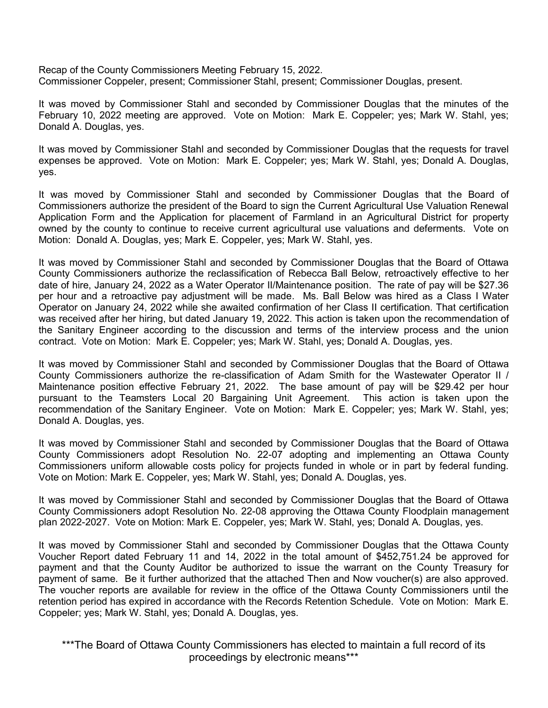Recap of the County Commissioners Meeting February 15, 2022. Commissioner Coppeler, present; Commissioner Stahl, present; Commissioner Douglas, present.

It was moved by Commissioner Stahl and seconded by Commissioner Douglas that the minutes of the February 10, 2022 meeting are approved. Vote on Motion: Mark E. Coppeler; yes; Mark W. Stahl, yes; Donald A. Douglas, yes.

It was moved by Commissioner Stahl and seconded by Commissioner Douglas that the requests for travel expenses be approved. Vote on Motion: Mark E. Coppeler; yes; Mark W. Stahl, yes; Donald A. Douglas, yes.

It was moved by Commissioner Stahl and seconded by Commissioner Douglas that the Board of Commissioners authorize the president of the Board to sign the Current Agricultural Use Valuation Renewal Application Form and the Application for placement of Farmland in an Agricultural District for property owned by the county to continue to receive current agricultural use valuations and deferments. Vote on Motion: Donald A. Douglas, yes; Mark E. Coppeler, yes; Mark W. Stahl, yes.

It was moved by Commissioner Stahl and seconded by Commissioner Douglas that the Board of Ottawa County Commissioners authorize the reclassification of Rebecca Ball Below, retroactively effective to her date of hire, January 24, 2022 as a Water Operator II/Maintenance position. The rate of pay will be \$27.36 per hour and a retroactive pay adjustment will be made. Ms. Ball Below was hired as a Class I Water Operator on January 24, 2022 while she awaited confirmation of her Class II certification. That certification was received after her hiring, but dated January 19, 2022. This action is taken upon the recommendation of the Sanitary Engineer according to the discussion and terms of the interview process and the union contract. Vote on Motion: Mark E. Coppeler; yes; Mark W. Stahl, yes; Donald A. Douglas, yes.

It was moved by Commissioner Stahl and seconded by Commissioner Douglas that the Board of Ottawa County Commissioners authorize the re-classification of Adam Smith for the Wastewater Operator II / Maintenance position effective February 21, 2022. The base amount of pay will be \$29.42 per hour pursuant to the Teamsters Local 20 Bargaining Unit Agreement. This action is taken upon the recommendation of the Sanitary Engineer. Vote on Motion: Mark E. Coppeler; yes; Mark W. Stahl, yes; Donald A. Douglas, yes.

It was moved by Commissioner Stahl and seconded by Commissioner Douglas that the Board of Ottawa County Commissioners adopt Resolution No. 22-07 adopting and implementing an Ottawa County Commissioners uniform allowable costs policy for projects funded in whole or in part by federal funding. Vote on Motion: Mark E. Coppeler, yes; Mark W. Stahl, yes; Donald A. Douglas, yes.

It was moved by Commissioner Stahl and seconded by Commissioner Douglas that the Board of Ottawa County Commissioners adopt Resolution No. 22-08 approving the Ottawa County Floodplain management plan 2022-2027. Vote on Motion: Mark E. Coppeler, yes; Mark W. Stahl, yes; Donald A. Douglas, yes.

It was moved by Commissioner Stahl and seconded by Commissioner Douglas that the Ottawa County Voucher Report dated February 11 and 14, 2022 in the total amount of \$452,751.24 be approved for payment and that the County Auditor be authorized to issue the warrant on the County Treasury for payment of same. Be it further authorized that the attached Then and Now voucher(s) are also approved. The voucher reports are available for review in the office of the Ottawa County Commissioners until the retention period has expired in accordance with the Records Retention Schedule. Vote on Motion: Mark E. Coppeler; yes; Mark W. Stahl, yes; Donald A. Douglas, yes.

\*\*\*The Board of Ottawa County Commissioners has elected to maintain a full record of its proceedings by electronic means\*\*\*